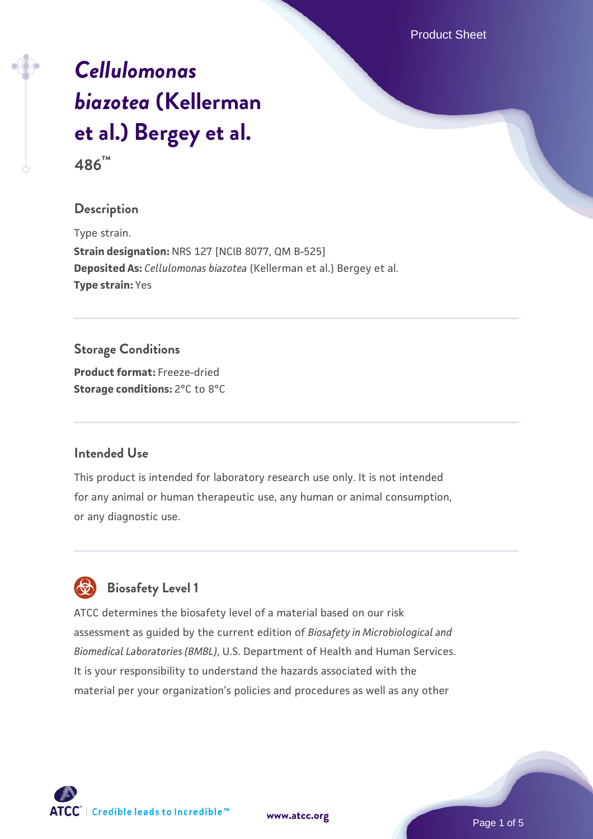Product Sheet

# *[Cellulomonas](https://www.atcc.org/products/486) [biazotea](https://www.atcc.org/products/486)* **[\(Kellerman](https://www.atcc.org/products/486) [et al.\) Bergey et al.](https://www.atcc.org/products/486) 486™**

# **Description**

Type strain. **Strain designation:** NRS 127 [NCIB 8077, QM B-525] **Deposited As:** *Cellulomonas biazotea* (Kellerman et al.) Bergey et al. **Type strain:** Yes

# **Storage Conditions Product format:** Freeze-dried **Storage conditions:** 2°C to 8°C

# **Intended Use**

This product is intended for laboratory research use only. It is not intended for any animal or human therapeutic use, any human or animal consumption, or any diagnostic use.



# **Biosafety Level 1**

ATCC determines the biosafety level of a material based on our risk assessment as guided by the current edition of *Biosafety in Microbiological and Biomedical Laboratories (BMBL)*, U.S. Department of Health and Human Services. It is your responsibility to understand the hazards associated with the material per your organization's policies and procedures as well as any other



Page 1 of 5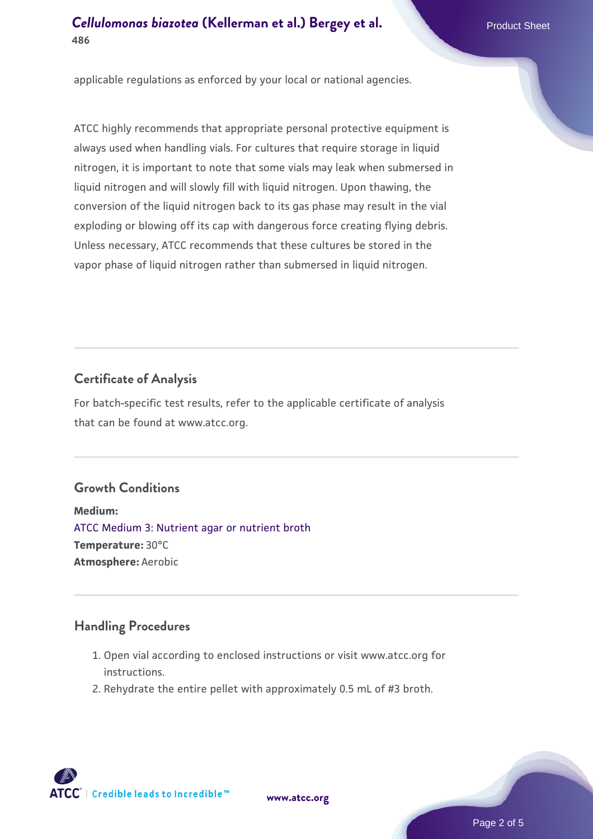# **[Cellulomonas biazotea](https://www.atcc.org/products/486)** [\(Kellerman et al.\) Bergey et al.](https://www.atcc.org/products/486) **Product Sheet 486**

applicable regulations as enforced by your local or national agencies.

ATCC highly recommends that appropriate personal protective equipment is always used when handling vials. For cultures that require storage in liquid nitrogen, it is important to note that some vials may leak when submersed in liquid nitrogen and will slowly fill with liquid nitrogen. Upon thawing, the conversion of the liquid nitrogen back to its gas phase may result in the vial exploding or blowing off its cap with dangerous force creating flying debris. Unless necessary, ATCC recommends that these cultures be stored in the vapor phase of liquid nitrogen rather than submersed in liquid nitrogen.

# **Certificate of Analysis**

For batch-specific test results, refer to the applicable certificate of analysis that can be found at www.atcc.org.

# **Growth Conditions**

**Medium:**  [ATCC Medium 3: Nutrient agar or nutrient broth](https://www.atcc.org/-/media/product-assets/documents/microbial-media-formulations/3/atcc-medium-3.pdf?rev=7510837507e64d849c62a46b5b2197a1) **Temperature:** 30°C **Atmosphere:** Aerobic

#### **Handling Procedures**

- 1. Open vial according to enclosed instructions or visit www.atcc.org for instructions.
- 2. Rehydrate the entire pellet with approximately 0.5 mL of #3 broth.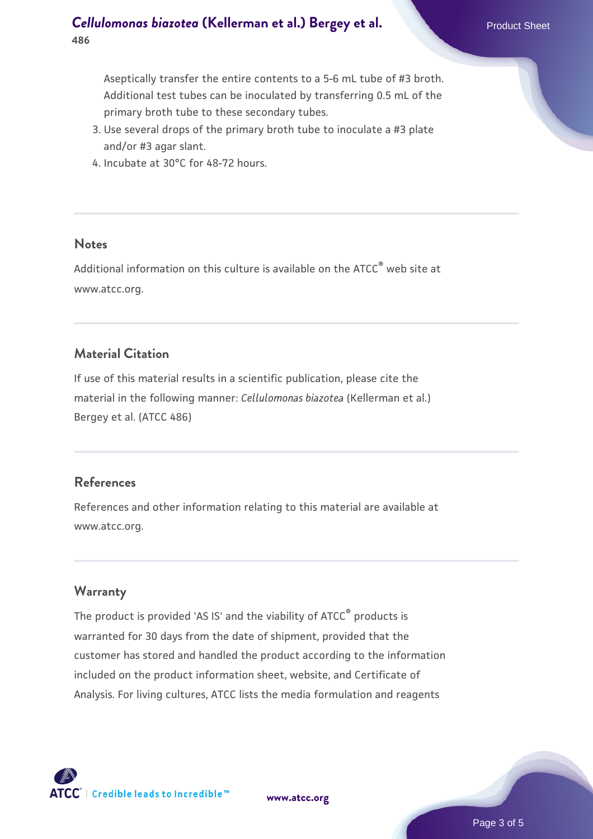Aseptically transfer the entire contents to a 5-6 mL tube of #3 broth. Additional test tubes can be inoculated by transferring 0.5 mL of the primary broth tube to these secondary tubes.

- 3. Use several drops of the primary broth tube to inoculate a #3 plate and/or #3 agar slant.
- 4. Incubate at 30°C for 48-72 hours.

#### **Notes**

Additional information on this culture is available on the ATCC<sup>®</sup> web site at www.atcc.org.

# **Material Citation**

If use of this material results in a scientific publication, please cite the material in the following manner: *Cellulomonas biazotea* (Kellerman et al.) Bergey et al. (ATCC 486)

# **References**

References and other information relating to this material are available at www.atcc.org.

# **Warranty**

The product is provided 'AS IS' and the viability of ATCC® products is warranted for 30 days from the date of shipment, provided that the customer has stored and handled the product according to the information included on the product information sheet, website, and Certificate of Analysis. For living cultures, ATCC lists the media formulation and reagents

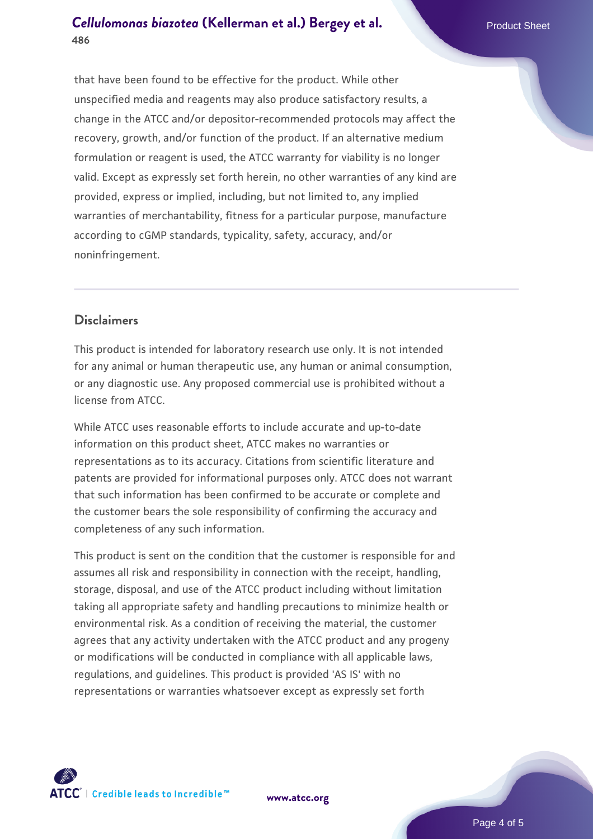# **[Cellulomonas biazotea](https://www.atcc.org/products/486)** [\(Kellerman et al.\) Bergey et al.](https://www.atcc.org/products/486) **Product Sheet 486**

that have been found to be effective for the product. While other unspecified media and reagents may also produce satisfactory results, a change in the ATCC and/or depositor-recommended protocols may affect the recovery, growth, and/or function of the product. If an alternative medium formulation or reagent is used, the ATCC warranty for viability is no longer valid. Except as expressly set forth herein, no other warranties of any kind are provided, express or implied, including, but not limited to, any implied warranties of merchantability, fitness for a particular purpose, manufacture according to cGMP standards, typicality, safety, accuracy, and/or noninfringement.

# **Disclaimers**

This product is intended for laboratory research use only. It is not intended for any animal or human therapeutic use, any human or animal consumption, or any diagnostic use. Any proposed commercial use is prohibited without a license from ATCC.

While ATCC uses reasonable efforts to include accurate and up-to-date information on this product sheet, ATCC makes no warranties or representations as to its accuracy. Citations from scientific literature and patents are provided for informational purposes only. ATCC does not warrant that such information has been confirmed to be accurate or complete and the customer bears the sole responsibility of confirming the accuracy and completeness of any such information.

This product is sent on the condition that the customer is responsible for and assumes all risk and responsibility in connection with the receipt, handling, storage, disposal, and use of the ATCC product including without limitation taking all appropriate safety and handling precautions to minimize health or environmental risk. As a condition of receiving the material, the customer agrees that any activity undertaken with the ATCC product and any progeny or modifications will be conducted in compliance with all applicable laws, regulations, and guidelines. This product is provided 'AS IS' with no representations or warranties whatsoever except as expressly set forth